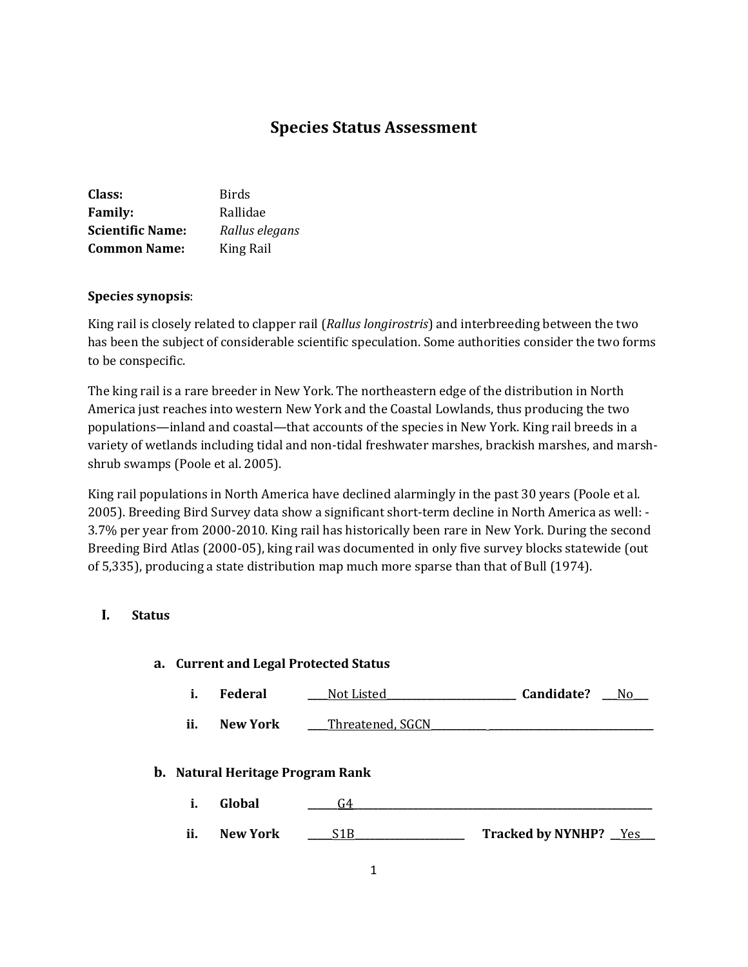# **Species Status Assessment**

| Class:                  | Birds          |
|-------------------------|----------------|
| <b>Family:</b>          | Rallidae       |
| <b>Scientific Name:</b> | Rallus elegans |
| <b>Common Name:</b>     | King Rail      |

#### **Species synopsis**:

King rail is closely related to clapper rail (*Rallus longirostris*) and interbreeding between the two has been the subject of considerable scientific speculation. Some authorities consider the two forms to be conspecific.

The king rail is a rare breeder in New York. The northeastern edge of the distribution in North America just reaches into western New York and the Coastal Lowlands, thus producing the two populations—inland and coastal—that accounts of the species in New York. King rail breeds in a variety of wetlands including tidal and non-tidal freshwater marshes, brackish marshes, and marshshrub swamps (Poole et al. 2005).

King rail populations in North America have declined alarmingly in the past 30 years (Poole et al. 2005). Breeding Bird Survey data show a significant short-term decline in North America as well: - 3.7% per year from 2000-2010. King rail has historically been rare in New York. During the second Breeding Bird Atlas (2000-05), king rail was documented in only five survey blocks statewide (out of 5,335), producing a state distribution map much more sparse than that of Bull (1974).

#### **I. Status**

# **a. Current and Legal Protected Status i. Federal \_\_\_\_**Not Listed**\_\_\_\_\_\_\_\_\_\_\_\_\_\_\_\_\_\_\_\_\_\_\_\_\_\_ Candidate? \_\_\_**No**\_\_\_ ii. New York \_\_\_** Threatened, SGCN **b. Natural Heritage Program Rank i. Global \_\_\_\_\_\_**G4**\_\_\_\_\_\_\_\_\_\_\_\_\_\_\_\_\_\_\_\_\_\_\_\_\_\_\_\_\_\_\_\_\_\_\_\_\_\_\_\_\_\_\_\_\_\_\_\_\_\_\_\_\_\_\_\_\_\_\_\_ ii. New York 21B Tracked by NYNHP?** Yes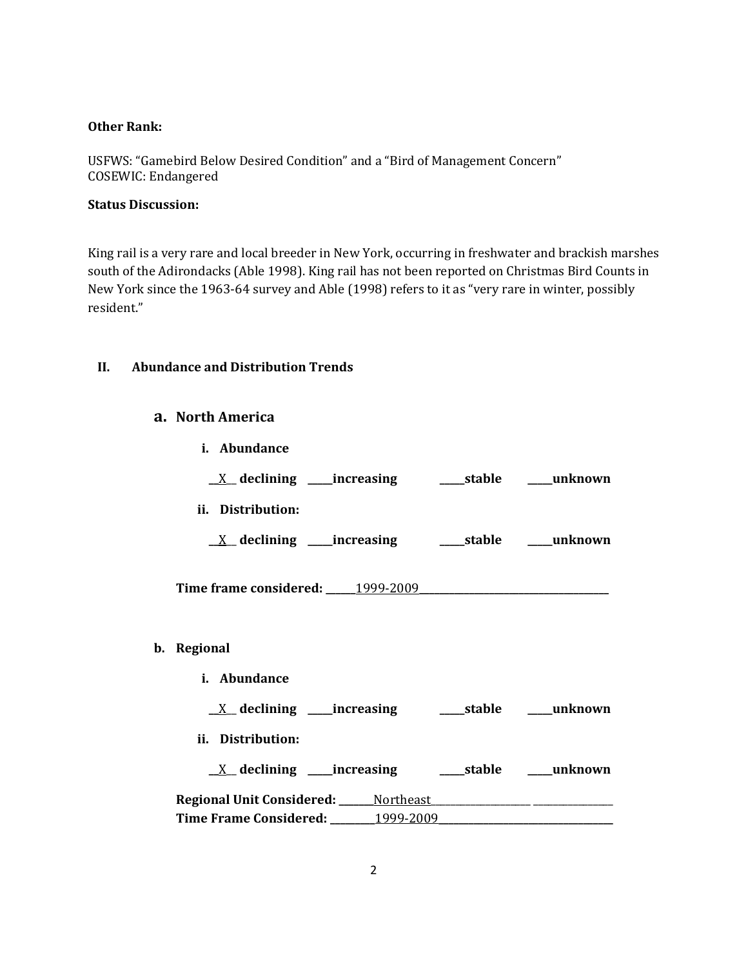#### **Other Rank:**

USFWS: "Gamebird Below Desired Condition" and a "Bird of Management Concern" COSEWIC: Endangered

# **Status Discussion:**

King rail is a very rare and local breeder in New York, occurring in freshwater and brackish marshes south of the Adirondacks (Able 1998). King rail has not been reported on Christmas Bird Counts in New York since the 1963-64 survey and Able (1998) refers to it as "very rare in winter, possibly resident."

# **II. Abundance and Distribution Trends**

#### **a. North America**

| i. Abundance                                                               |  |
|----------------------------------------------------------------------------|--|
| $\underline{X}$ declining ____increasing __________stable ______unknown    |  |
| ii. Distribution:                                                          |  |
| $\underline{X}$ declining ____increasing __________stable ______unknown    |  |
|                                                                            |  |
| b. Regional                                                                |  |
| i. Abundance                                                               |  |
| <u>X</u> declining ____increasing ______stable ____unknown                 |  |
| ii. Distribution:                                                          |  |
|                                                                            |  |
| Regional Unit Considered: ______ Northeast ______________ ________________ |  |
|                                                                            |  |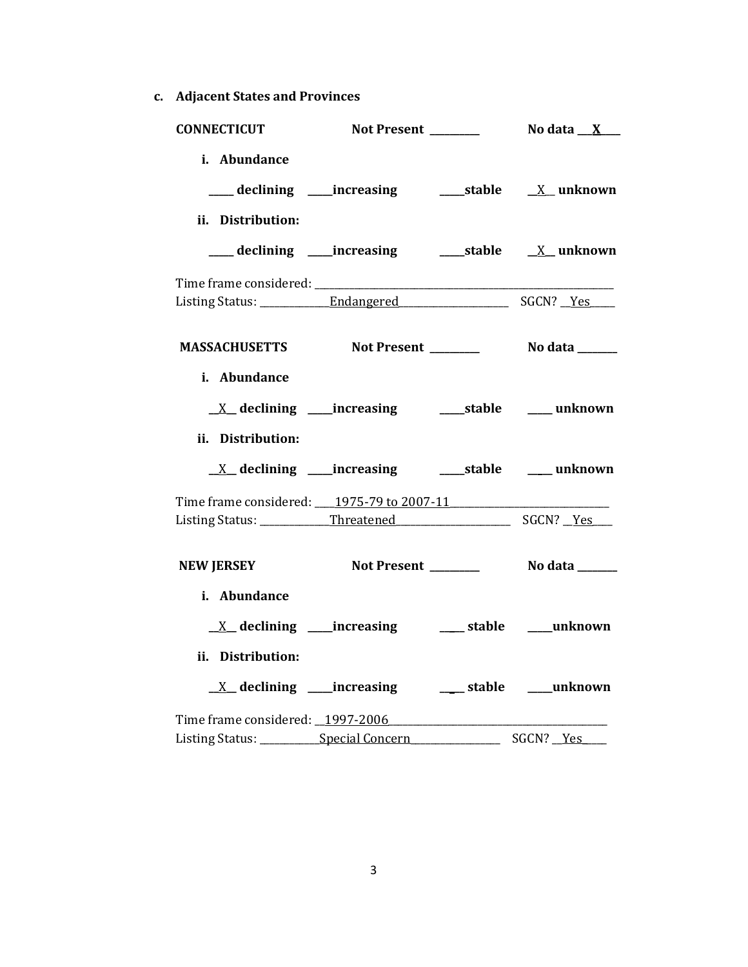**c. Adjacent States and Provinces**

| <b>CONNECTICUT</b>                                 |                                                                                                                                      |            |
|----------------------------------------------------|--------------------------------------------------------------------------------------------------------------------------------------|------------|
| i. Abundance<br>ii. Distribution:                  |                                                                                                                                      |            |
|                                                    |                                                                                                                                      |            |
|                                                    |                                                                                                                                      |            |
| MASSACHUSETTS Not Present _________ No data ______ |                                                                                                                                      |            |
| i. Abundance<br>ii. Distribution:                  |                                                                                                                                      |            |
|                                                    |                                                                                                                                      |            |
| Time frame considered: 1975-79 to 2007-11          |                                                                                                                                      |            |
| <b>NEW JERSEY</b>                                  | Not Present No data _____                                                                                                            |            |
| i. Abundance<br>ii. Distribution:                  | $\underline{X}$ declining ____increasing ________ stable _____unknown<br><u>X</u> declining ____increasing ______ stable ____unknown |            |
|                                                    | Listing Status: Special Concern [1981]                                                                                               | SGCN? _Yes |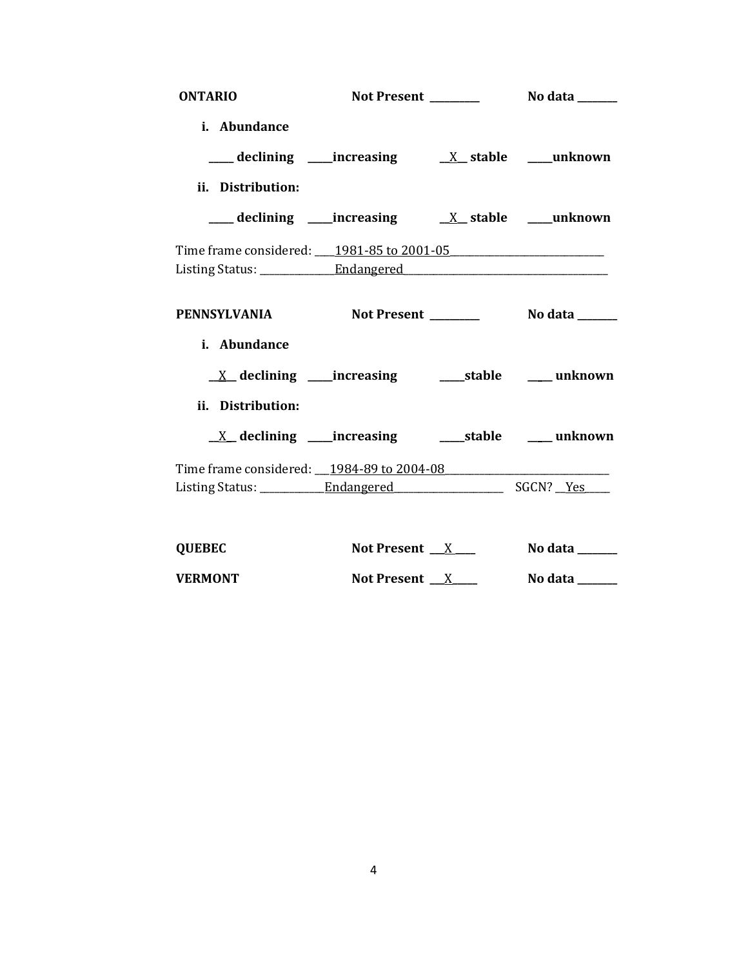| <b>ONTARIO</b>                                  |                 |                                 |
|-------------------------------------------------|-----------------|---------------------------------|
| i. Abundance                                    |                 |                                 |
|                                                 |                 |                                 |
| ii. Distribution:                               |                 |                                 |
|                                                 |                 |                                 |
| Time frame considered: 1981-85 to 2001-05       |                 |                                 |
|                                                 |                 |                                 |
| PENNSYLVANIA Not Present ________ No data _____ |                 |                                 |
| i. Abundance                                    |                 |                                 |
|                                                 |                 |                                 |
| ii. Distribution:                               |                 |                                 |
|                                                 |                 |                                 |
| Time frame considered: 1984-89 to 2004-08       |                 |                                 |
|                                                 |                 |                                 |
|                                                 |                 |                                 |
| <b>QUEBEC</b>                                   | Not Present $X$ | No data $\_\_\_\_\_\_\_\_\_\_\$ |

| <b>VERMONT</b> | <b>Not Present</b> | No data |
|----------------|--------------------|---------|
|----------------|--------------------|---------|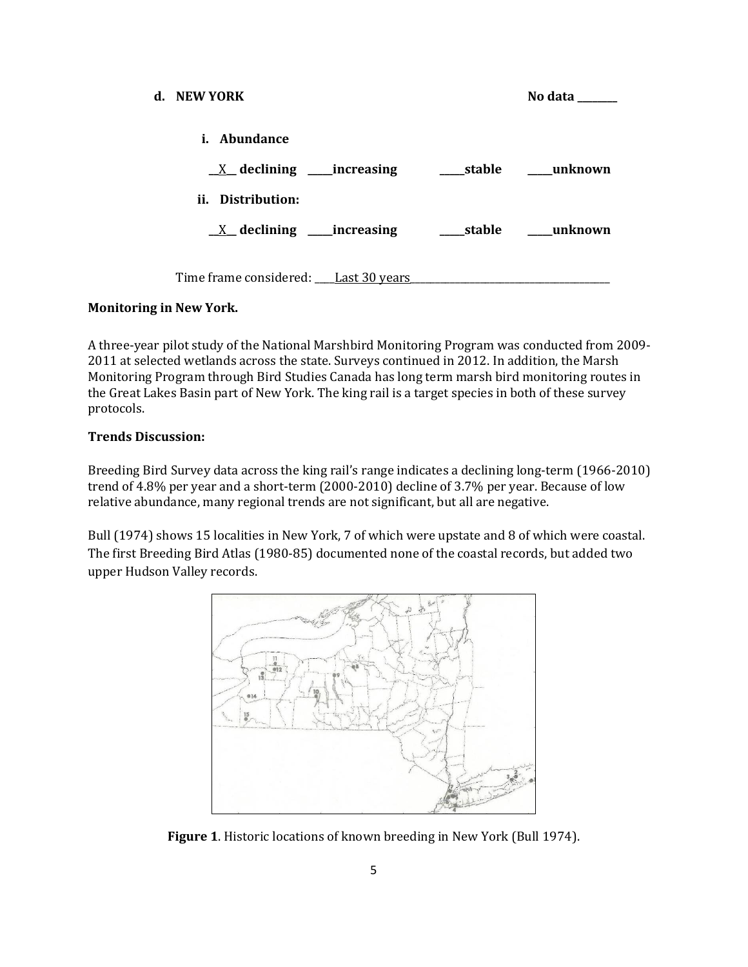| d. – NEW YORK                        |  | No data ______ |
|--------------------------------------|--|----------------|
| <i>i.</i> Abundance                  |  |                |
| $X$ declining _____increasing        |  |                |
| ii. Distribution:                    |  |                |
| $X$ declining _____increasing        |  |                |
| Time frame considered: Last 30 years |  |                |

#### **Monitoring in New York.**

A three-year pilot study of the National Marshbird Monitoring Program was conducted from 2009- 2011 at selected wetlands across the state. Surveys continued in 2012. In addition, the Marsh Monitoring Program through Bird Studies Canada has long term marsh bird monitoring routes in the Great Lakes Basin part of New York. The king rail is a target species in both of these survey protocols.

#### **Trends Discussion:**

Breeding Bird Survey data across the king rail's range indicates a declining long-term (1966-2010) trend of 4.8% per year and a short-term (2000-2010) decline of 3.7% per year. Because of low relative abundance, many regional trends are not significant, but all are negative.

Bull (1974) shows 15 localities in New York, 7 of which were upstate and 8 of which were coastal. The first Breeding Bird Atlas (1980-85) documented none of the coastal records, but added two upper Hudson Valley records.



**Figure 1**. Historic locations of known breeding in New York (Bull 1974).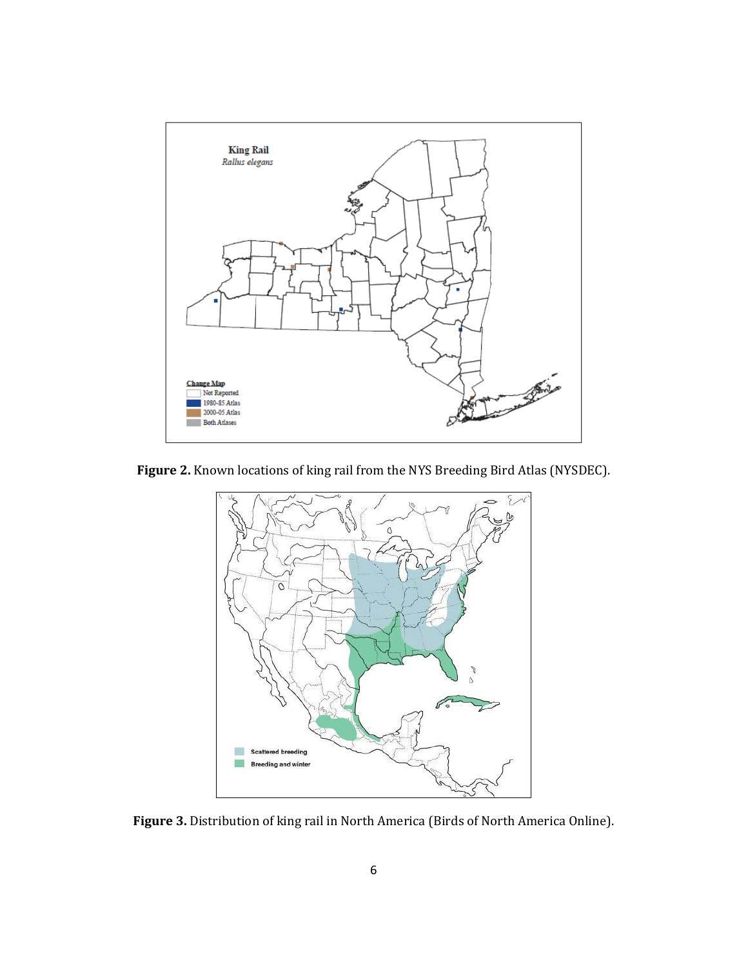

**Figure 2.** Known locations of king rail from the NYS Breeding Bird Atlas (NYSDEC).



**Figure 3.** Distribution of king rail in North America (Birds of North America Online).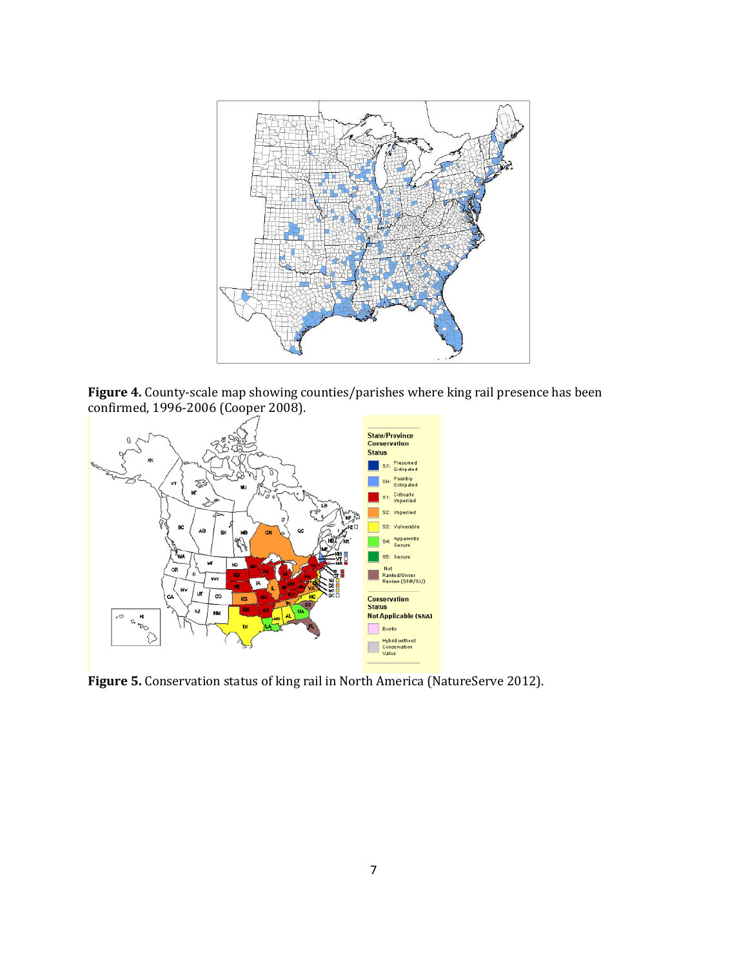

**Figure 4.** County-scale map showing counties/parishes where king rail presence has been confirmed, 1996-2006 (Cooper 2008).



**Figure 5.** Conservation status of king rail in North America (NatureServe 2012).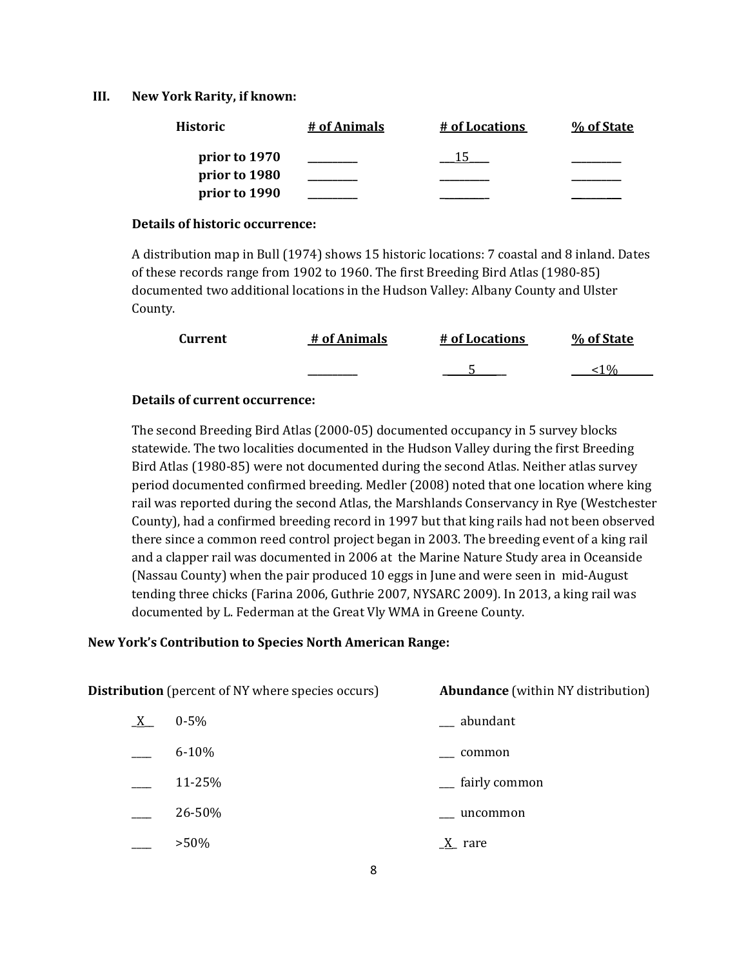#### **III. New York Rarity, if known:**

| <b>Historic</b> | # of Animals | # of Locations | % of State |
|-----------------|--------------|----------------|------------|
| prior to 1970   |              |                |            |
| prior to 1980   |              |                |            |
| prior to 1990   |              |                |            |

#### **Details of historic occurrence:**

A distribution map in Bull (1974) shows 15 historic locations: 7 coastal and 8 inland. Dates of these records range from 1902 to 1960. The first Breeding Bird Atlas (1980-85) documented two additional locations in the Hudson Valley: Albany County and Ulster County.

| <b>Current</b> | # of Animals | # of Locations | % of State |
|----------------|--------------|----------------|------------|
|                |              |                | 10/        |

#### **Details of current occurrence:**

The second Breeding Bird Atlas (2000-05) documented occupancy in 5 survey blocks statewide. The two localities documented in the Hudson Valley during the first Breeding Bird Atlas (1980-85) were not documented during the second Atlas. Neither atlas survey period documented confirmed breeding. Medler (2008) noted that one location where king rail was reported during the second Atlas, the Marshlands Conservancy in Rye (Westchester County), had a confirmed breeding record in 1997 but that king rails had not been observed there since a common reed control project began in 2003. The breeding event of a king rail and a clapper rail was documented in 2006 at the Marine Nature Study area in Oceanside (Nassau County) when the pair produced 10 eggs in June and were seen in mid-August tending three chicks (Farina 2006, Guthrie 2007, NYSARC 2009). In 2013, a king rail was documented by L. Federman at the Great Vly WMA in Greene County.

#### **New York's Contribution to Species North American Range:**

| <b>Distribution</b> (percent of NY where species occurs) |           | <b>Abundance</b> (within NY distribution) |
|----------------------------------------------------------|-----------|-------------------------------------------|
| $X_{-}$                                                  | $0 - 5\%$ | __ abundant                               |
|                                                          | $6 - 10%$ | common                                    |
|                                                          | 11-25%    | __ fairly common                          |
|                                                          | 26-50%    | uncommon                                  |
|                                                          | $>50\%$   | $X$ rare                                  |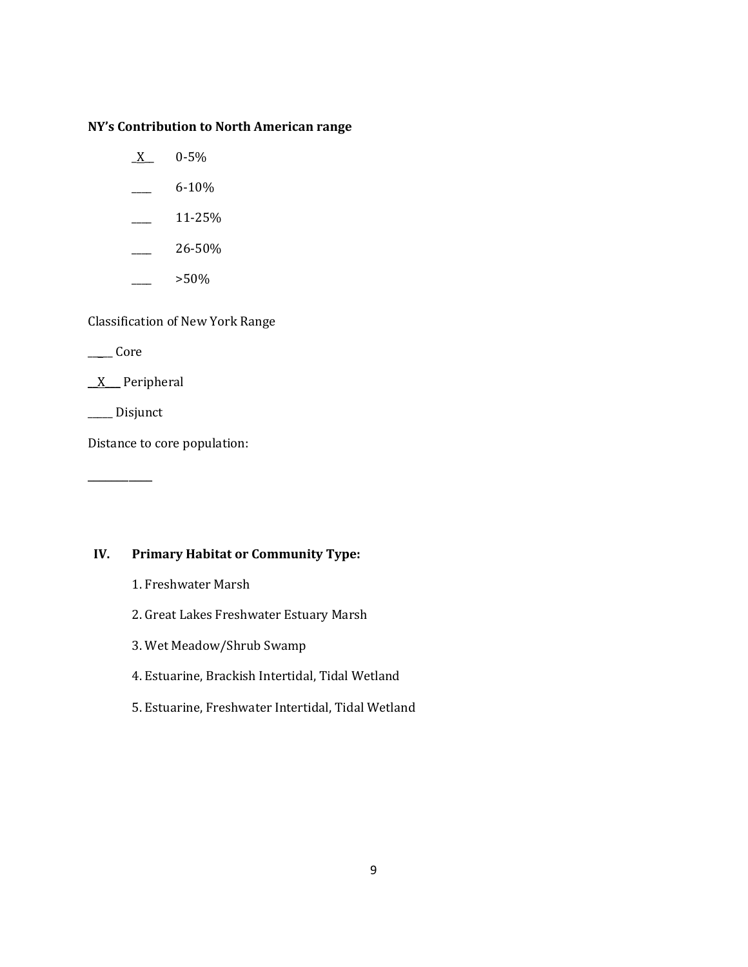#### **NY's Contribution to North American range**

- $X = 0.5\%$
- $-$  6-10%
- $-25\%$
- $\frac{26-50\%}{26}$
- $>50\%$

Classification of New York Range

 $\rule{1em}{0.15mm}$  Core

\_\_X\_\_\_ Peripheral

\_\_\_\_\_ Disjunct

\_\_\_\_\_\_\_\_\_\_\_

Distance to core population:

# **IV. Primary Habitat or Community Type:**

- 1. Freshwater Marsh
- 2. Great Lakes Freshwater Estuary Marsh
- 3. Wet Meadow/Shrub Swamp
- 4. Estuarine, Brackish Intertidal, Tidal Wetland
- 5. Estuarine, Freshwater Intertidal, Tidal Wetland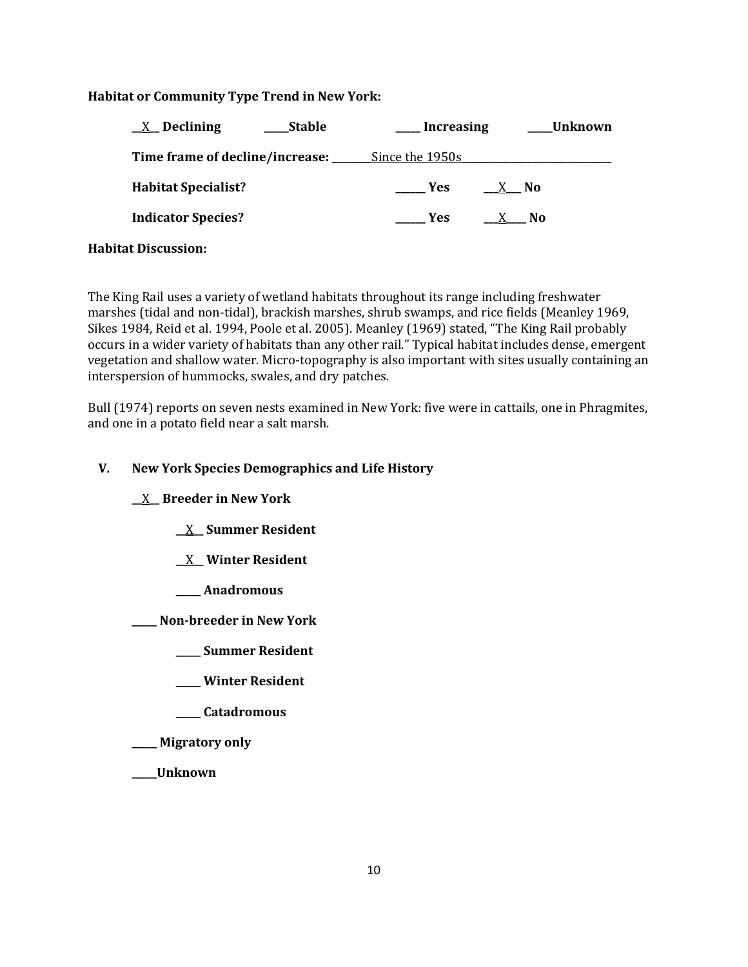# **Habitat or Community Type Trend in New York:**

| $\underline{X}$ Declining<br><b>Stable</b> | <b>Increasing</b> | Unknown        |
|--------------------------------------------|-------------------|----------------|
| Time frame of decline/increase: __         | Since the 1950s   |                |
| <b>Habitat Specialist?</b>                 | <b>Yes</b><br>X   | No.            |
| <b>Indicator Species?</b>                  | <b>Yes</b>        | N <sub>0</sub> |
|                                            |                   |                |

#### **Habitat Discussion:**

The King Rail uses a variety of wetland habitats throughout its range including freshwater marshes (tidal and non-tidal), brackish marshes, shrub swamps, and rice fields (Meanley 1969, Sikes 1984, Reid et al. 1994, Poole et al. 2005). Meanley (1969) stated, "The King Rail probably occurs in a wider variety of habitats than any other rail." Typical habitat includes dense, emergent vegetation and shallow water. Micro-topography is also important with sites usually containing an interspersion of hummocks, swales, and dry patches.

Bull (1974) reports on seven nests examined in New York: five were in cattails, one in Phragmites, and one in a potato field near a salt marsh.

# **V. New York Species Demographics and Life History**

**\_\_**X**\_\_ Breeder in New York**

- **\_\_**X**\_\_ Summer Resident**
- **\_\_**X**\_\_ Winter Resident**
- **\_\_\_\_\_ Anadromous**

**\_\_\_\_\_ Non-breeder in New York**

- **\_\_\_\_\_ Summer Resident**
- **\_\_\_\_\_ Winter Resident**
- **\_\_\_\_\_ Catadromous**
- **\_\_\_\_\_ Migratory only**
- **\_\_\_\_\_Unknown**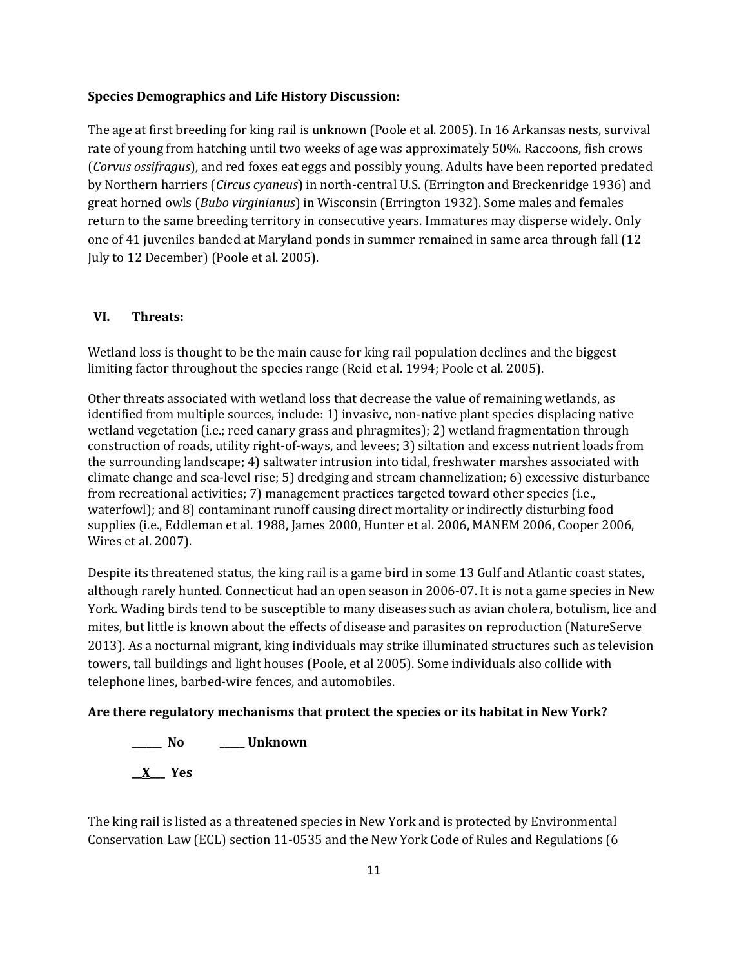#### **Species Demographics and Life History Discussion:**

The age at first breeding for king rail is unknown (Poole et al. 2005). In 16 Arkansas nests, survival rate of young from hatching until two weeks of age was approximately 50%. Raccoons, fish crows (*Corvus ossifragus*), and red foxes eat eggs and possibly young. Adults have been reported predated by Northern harriers (*Circus cyaneus*) in north-central U.S. (Errington and Breckenridge 1936) and great horned owls (*Bubo virginianus*) in Wisconsin (Errington 1932). Some males and females return to the same breeding territory in consecutive years. Immatures may disperse widely. Only one of 41 juveniles banded at Maryland ponds in summer remained in same area through fall (12 July to 12 December) (Poole et al. 2005).

#### **VI. Threats:**

Wetland loss is thought to be the main cause for king rail population declines and the biggest limiting factor throughout the species range (Reid et al. 1994; Poole et al. 2005).

Other threats associated with wetland loss that decrease the value of remaining wetlands, as identified from multiple sources, include: 1) invasive, non-native plant species displacing native wetland vegetation (i.e.; reed canary grass and phragmites); 2) wetland fragmentation through construction of roads, utility right-of-ways, and levees; 3) siltation and excess nutrient loads from the surrounding landscape; 4) saltwater intrusion into tidal, freshwater marshes associated with climate change and sea-level rise; 5) dredging and stream channelization; 6) excessive disturbance from recreational activities; 7) management practices targeted toward other species (i.e., waterfowl); and 8) contaminant runoff causing direct mortality or indirectly disturbing food supplies (i.e., Eddleman et al. 1988, James 2000, Hunter et al. 2006, MANEM 2006, Cooper 2006, Wires et al. 2007).

Despite its threatened status, the king rail is a game bird in some 13 Gulf and Atlantic coast states, although rarely hunted. Connecticut had an open season in 2006-07. It is not a game species in New York. Wading birds tend to be susceptible to many diseases such as avian cholera, botulism, lice and mites, but little is known about the effects of disease and parasites on reproduction (NatureServe 2013). As a nocturnal migrant, king individuals may strike illuminated structures such as television towers, tall buildings and light houses (Poole, et al 2005). Some individuals also collide with telephone lines, barbed-wire fences, and automobiles.

#### **Are there regulatory mechanisms that protect the species or its habitat in New York?**

**\_\_\_\_\_\_ No \_\_\_\_\_ Unknown \_\_X\_\_\_ Yes** 

The king rail is listed as a threatened species in New York and is protected by Environmental Conservation Law (ECL) section 11-0535 and the New York Code of Rules and Regulations (6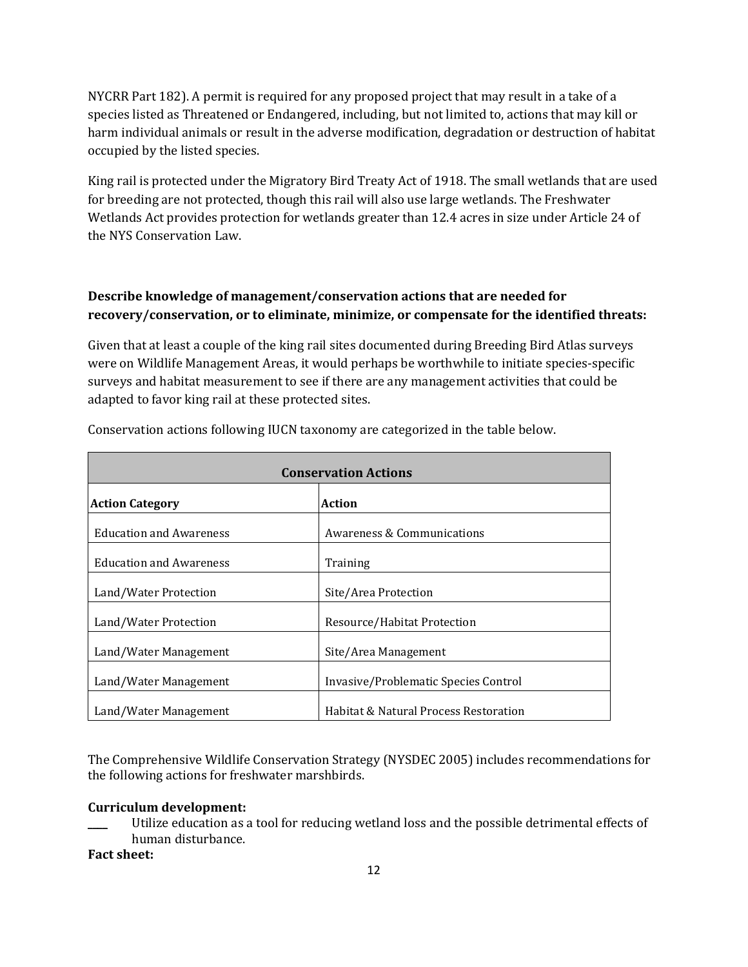NYCRR Part 182). A permit is required for any proposed project that may result in a take of a species listed as Threatened or Endangered, including, but not limited to, actions that may kill or harm individual animals or result in the adverse modification, degradation or destruction of habitat occupied by the listed species.

King rail is protected under the Migratory Bird Treaty Act of 1918. The small wetlands that are used for breeding are not protected, though this rail will also use large wetlands. The Freshwater Wetlands Act provides protection for wetlands greater than 12.4 acres in size under Article 24 of the NYS Conservation Law.

# **Describe knowledge of management/conservation actions that are needed for recovery/conservation, or to eliminate, minimize, or compensate for the identified threats:**

Given that at least a couple of the king rail sites documented during Breeding Bird Atlas surveys were on Wildlife Management Areas, it would perhaps be worthwhile to initiate species-specific surveys and habitat measurement to see if there are any management activities that could be adapted to favor king rail at these protected sites.

| <b>Conservation Actions</b>    |                                       |  |
|--------------------------------|---------------------------------------|--|
| <b>Action Category</b>         | Action                                |  |
| <b>Education and Awareness</b> | Awareness & Communications            |  |
| <b>Education and Awareness</b> | Training                              |  |
| Land/Water Protection          | Site/Area Protection                  |  |
| Land/Water Protection          | Resource/Habitat Protection           |  |
| Land/Water Management          | Site/Area Management                  |  |
| Land/Water Management          | Invasive/Problematic Species Control  |  |
| Land/Water Management          | Habitat & Natural Process Restoration |  |

Conservation actions following IUCN taxonomy are categorized in the table below.

The Comprehensive Wildlife Conservation Strategy (NYSDEC 2005) includes recommendations for the following actions for freshwater marshbirds.

#### **Curriculum development:**

Utilize education as a tool for reducing wetland loss and the possible detrimental effects of human disturbance.

**Fact sheet:**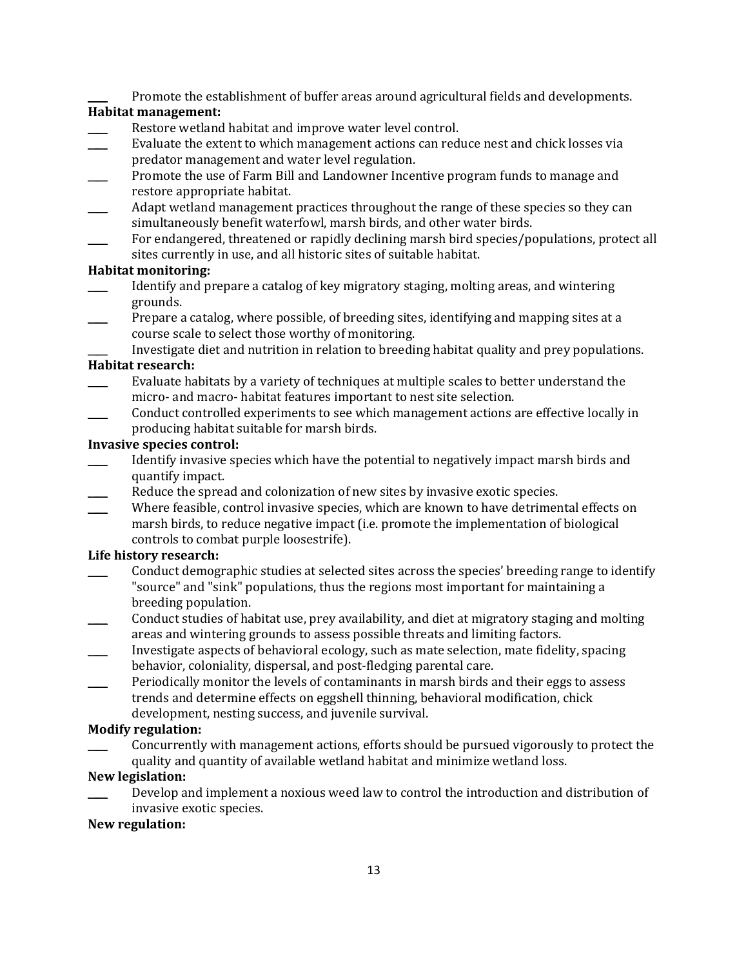Promote the establishment of buffer areas around agricultural fields and developments.

# **Habitat management:**

- Restore wetland habitat and improve water level control.
- Evaluate the extent to which management actions can reduce nest and chick losses via predator management and water level regulation.
- Promote the use of Farm Bill and Landowner Incentive program funds to manage and restore appropriate habitat.
- Adapt wetland management practices throughout the range of these species so they can simultaneously benefit waterfowl, marsh birds, and other water birds.
- For endangered, threatened or rapidly declining marsh bird species/populations, protect all sites currently in use, and all historic sites of suitable habitat.

# **Habitat monitoring:**

- \_\_\_\_ Identify and prepare a catalog of key migratory staging, molting areas, and wintering grounds.
- Prepare a catalog, where possible, of breeding sites, identifying and mapping sites at a course scale to select those worthy of monitoring.
	- \_\_\_\_ Investigate diet and nutrition in relation to breeding habitat quality and prey populations.

# **Habitat research:**

- Evaluate habitats by a variety of techniques at multiple scales to better understand the micro- and macro- habitat features important to nest site selection.
- \_\_\_\_ Conduct controlled experiments to see which management actions are effective locally in producing habitat suitable for marsh birds.

# **Invasive species control:**

- Identify invasive species which have the potential to negatively impact marsh birds and quantify impact.
- Reduce the spread and colonization of new sites by invasive exotic species.
- Where feasible, control invasive species, which are known to have detrimental effects on marsh birds, to reduce negative impact (i.e. promote the implementation of biological controls to combat purple loosestrife).

# **Life history research:**

- \_\_\_\_ Conduct demographic studies at selected sites across the species' breeding range to identify "source" and "sink" populations, thus the regions most important for maintaining a breeding population.
- \_\_\_\_ Conduct studies of habitat use, prey availability, and diet at migratory staging and molting areas and wintering grounds to assess possible threats and limiting factors.
- \_\_\_\_ Investigate aspects of behavioral ecology, such as mate selection, mate fidelity, spacing behavior, coloniality, dispersal, and post-fledging parental care.
- Periodically monitor the levels of contaminants in marsh birds and their eggs to assess trends and determine effects on eggshell thinning, behavioral modification, chick development, nesting success, and juvenile survival.

# **Modify regulation:**

Concurrently with management actions, efforts should be pursued vigorously to protect the quality and quantity of available wetland habitat and minimize wetland loss.

# **New legislation:**

Develop and implement a noxious weed law to control the introduction and distribution of invasive exotic species.

#### **New regulation:**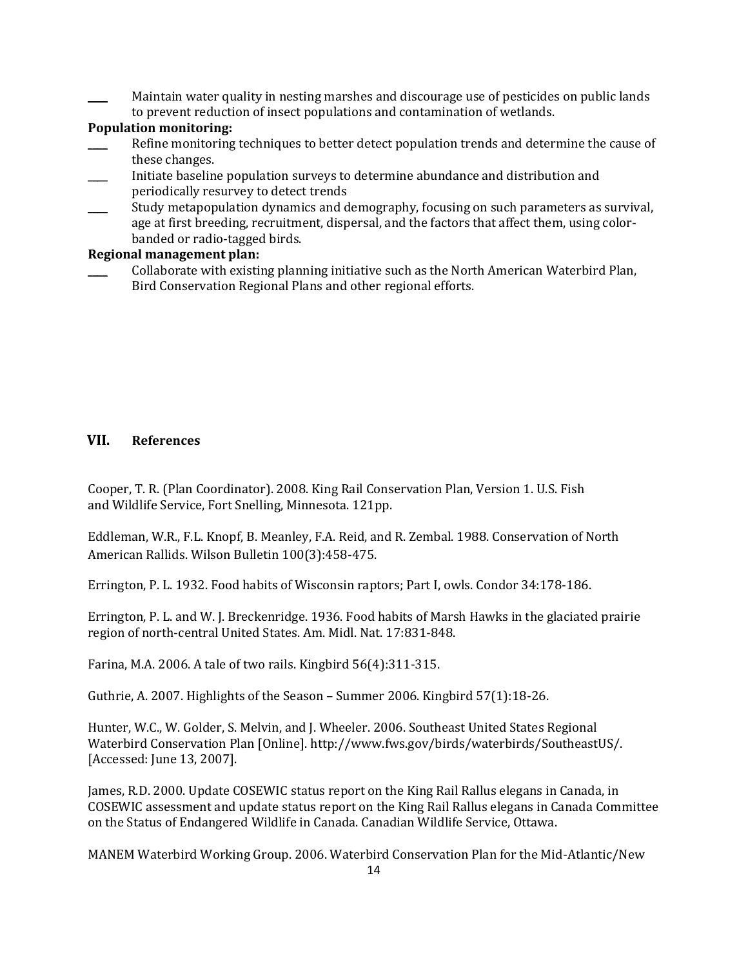Maintain water quality in nesting marshes and discourage use of pesticides on public lands to prevent reduction of insect populations and contamination of wetlands.

# **Population monitoring:**

- Refine monitoring techniques to better detect population trends and determine the cause of these changes.
- \_\_\_\_ Initiate baseline population surveys to determine abundance and distribution and periodically resurvey to detect trends
- Study metapopulation dynamics and demography, focusing on such parameters as survival, age at first breeding, recruitment, dispersal, and the factors that affect them, using colorbanded or radio-tagged birds.

# **Regional management plan:**

Collaborate with existing planning initiative such as the North American Waterbird Plan, Bird Conservation Regional Plans and other regional efforts.

# **VII. References**

Cooper, T. R. (Plan Coordinator). 2008. King Rail Conservation Plan, Version 1. U.S. Fish and Wildlife Service, Fort Snelling, Minnesota. 121pp.

Eddleman, W.R., F.L. Knopf, B. Meanley, F.A. Reid, and R. Zembal. 1988. Conservation of North American Rallids. Wilson Bulletin 100(3):458-475.

Errington, P. L. 1932. Food habits of Wisconsin raptors; Part I, owls. Condor 34:178-186.

Errington, P. L. and W. J. Breckenridge. 1936. Food habits of Marsh Hawks in the glaciated prairie region of north-central United States. Am. Midl. Nat. 17:831-848.

Farina, M.A. 2006. A tale of two rails. Kingbird 56(4):311-315.

Guthrie, A. 2007. Highlights of the Season – Summer 2006. Kingbird 57(1):18-26.

Hunter, W.C., W. Golder, S. Melvin, and J. Wheeler. 2006. Southeast United States Regional Waterbird Conservation Plan [Online]. http://www.fws.gov/birds/waterbirds/SoutheastUS/. [Accessed: June 13, 2007].

James, R.D. 2000. Update COSEWIC status report on the King Rail Rallus elegans in Canada, in COSEWIC assessment and update status report on the King Rail Rallus elegans in Canada Committee on the Status of Endangered Wildlife in Canada. Canadian Wildlife Service, Ottawa.

MANEM Waterbird Working Group. 2006. Waterbird Conservation Plan for the Mid-Atlantic/New